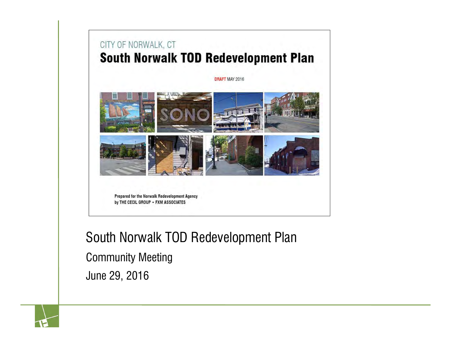#### CITY OF NORWALK, CT **South Norwalk TOD Redevelopment Plan**

DRAFT MAY 2016



Prepared for the Norwalk Redevelopment Agency by THE CECIL GROUP . FXM ASSOCIATES

South Norwalk TOD Redevelopment Plan Community Meeting

June 29, 2016

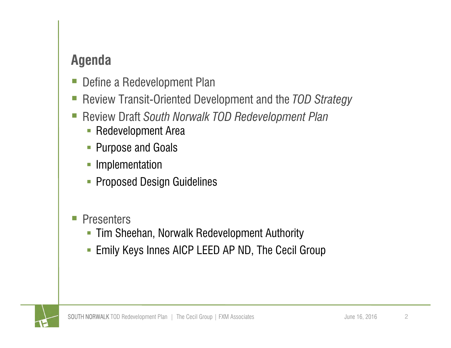#### **Agenda**

- e<br>S Define a Redevelopment Plan
- Review Transit-Oriented Development and the *TOD Strategy*
- Review Draft *South Norwalk TOD Redevelopment Plan*
	- **-** Redevelopment Area
	- $\Box$ Purpose and Goals
	- $\overline{\phantom{a}}$ Implementation
	- **Proposed Design Guidelines**

#### **Presenters**

- **Tim Sheehan, Norwalk Redevelopment Authority**
- $\Box$ Emily Keys Innes AICP LEED AP ND, The Cecil Group

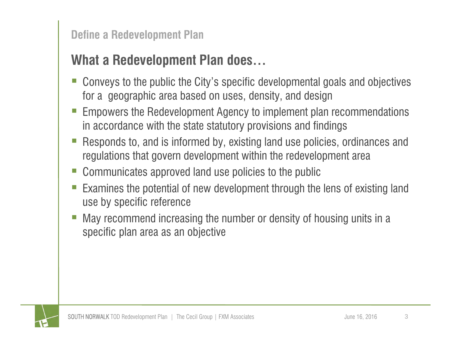#### **Define a Redevelopment Plan**

# **What a Redevelopment Plan does…**

- Ξ Conveys to the public the City's specific developmental goals and objectives for a geographic area based on uses, density, and design
- Ξ Empowers the Redevelopment Agency to implement plan recommendations in accordance with the state statutory provisions and findings
- Responds to, and is informed by, existing land use policies, ordinances and regulations that govern development within the redevelopment area
- Communicates approved land use policies to the public
- Ξ Examines the potential of new development through the lens of existing land use by specific reference
- Ξ May recommend increasing the number or density of housing units in a specific plan area as an objective

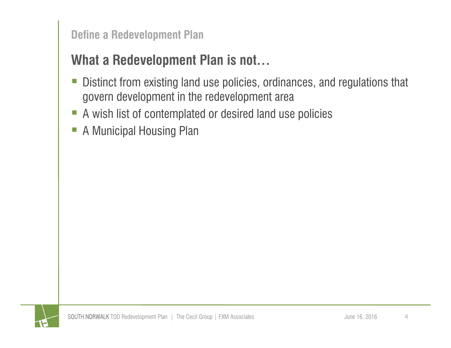**Define a Redevelopment Plan**

# **What a Redevelopment Plan is not…**

- $\mathbb{R}^3$  Distinct from existing land use policies, ordinances, and regulations that govern development in the redevelopment area
- $\Box$ A wish list of contemplated or desired land use policies
- $\overline{\mathbb{R}^n}$ A Municipal Housing Plan

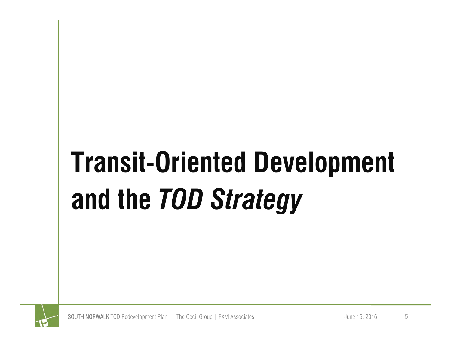# **Transit-Oriented Development and the** *TOD Strategy*

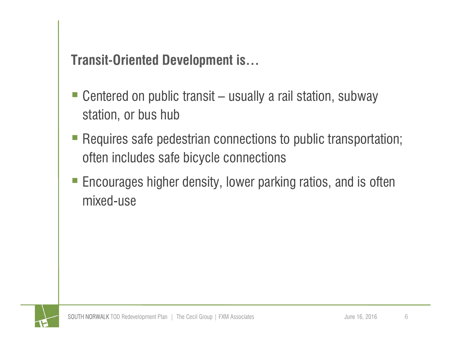### **Transit-Oriented Development is…**

- Centered on public transit usually a rail station, subway station, or bus hub
- Requires safe pedestrian connections to public transportation; often includes safe bicycle connections
- Encourages higher density, lower parking ratios, and is often mixed-use

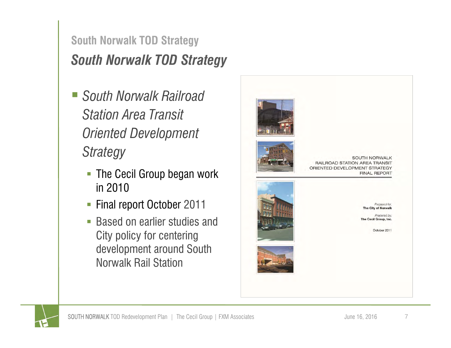#### *South Norwalk TOD Strategy* **South Norwalk TOD Strategy**

- *South Norwalk Railroad Station Area Transit Oriented Development Strategy*
	- **The Cecil Group began work** in 2010
	- $\overline{\phantom{a}}$ Final report October 2011
	- $\overline{\phantom{a}}$  Based on earlier studies and City policy for centering development around South Norwalk Rail Station



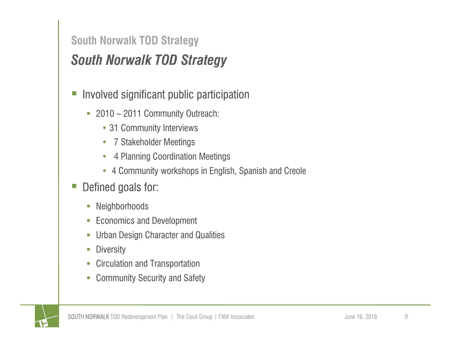#### **South Norwalk TOD Strategy**

# *South Norwalk TOD Strategy*

- $\mathcal{L}_{\mathcal{A}}$  Involved significant public participation
	- 2010 2011 Community Outreach:
		- 31 Community Interviews
		- 7 Stakeholder Meetings
		- $\bullet$ 4 Planning Coordination Meetings
		- 4 Community workshops in English, Spanish and Creole
- $\mathbb{Z}$  Defined goals for:
	- T. Neighborhoods
	- U Economics and Development
	- T. Urban Design Character and Qualities
	- T. **Diversity**
	- T. Circulation and Transportation
	- F Community Security and Safety

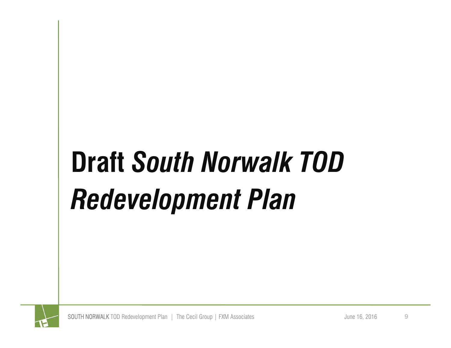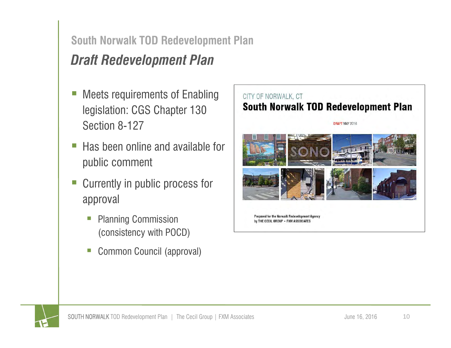# *Draft Redevelopment Plan*

- Meets requirements of Enabling legislation: CGS Chapter 130 Section 8-127
- Ξ Has been online and available for public comment
- Currently in public process for approval
	- Planning Commission (consistency with POCD)
	- Ξ Common Council (approval)



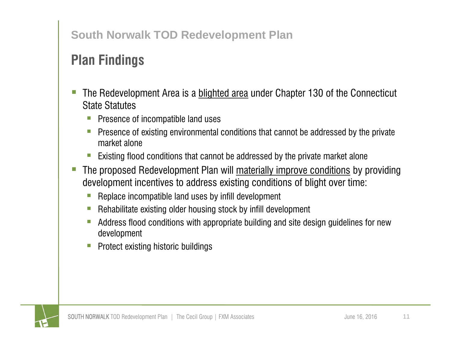# **Plan Findings**

- The Redevelopment Area is a blighted area under Chapter 130 of the Connecticut State Statutes
	- Presence of incompatible land uses
	- E Presence of existing environmental conditions that cannot be addressed by the private market alone
	- Existing flood conditions that cannot be addressed by the private market alone
- The proposed Redevelopment Plan will materially improve conditions by providing development incentives to address existing conditions of blight over time:
	- $\Box$ Replace incompatible land uses by infill development
	- Rehabilitate existing older housing stock by infill development
	- $\overline{\phantom{a}}$  Address flood conditions with appropriate building and site design guidelines for new development
	- Protect existing historic buildings

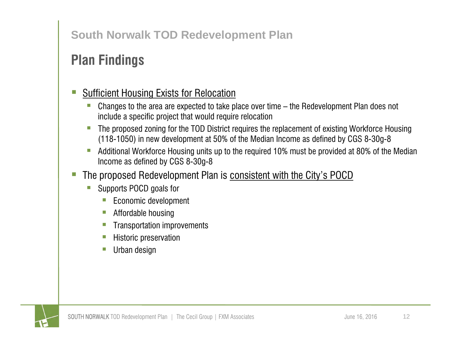# **Plan Findings**

#### Sufficient Housing Exists for Relocation

- $\overline{\phantom{a}}$  Changes to the area are expected to take place over time – the Redevelopment Plan does not include a specific project that would require relocation
- E The proposed zoning for the TOD District requires the replacement of existing Workforce Housing (118-1050) in new development at 50% of the Median Income as defined by CGS 8-30g-8
- Г Additional Workforce Housing units up to the required 10% must be provided at 80% of the Median Income as defined by CGS 8-30g-8
- The proposed Redevelopment Plan is consistent with the City's POCD
	- E Supports POCD goals for
		- $\overline{\phantom{a}}$ Economic development
		- $\Box$ Affordable housing
		- Г Transportation improvements
		- h. Historic preservation
		- $\vert \cdot \vert$ Urban design

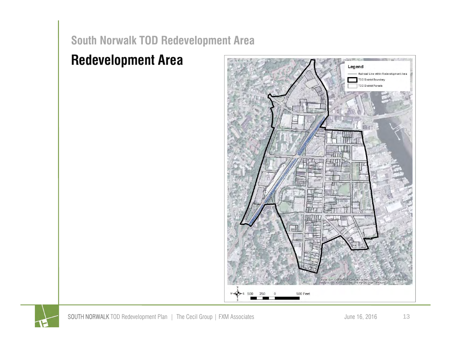#### **Redevelopment Area**



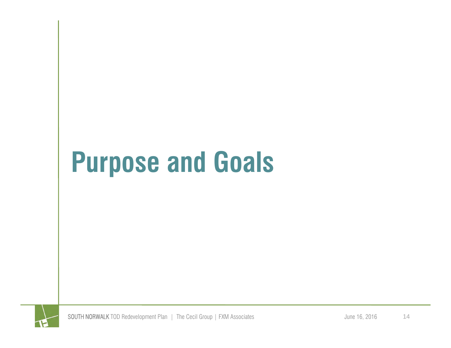# **Purpose and Goals**

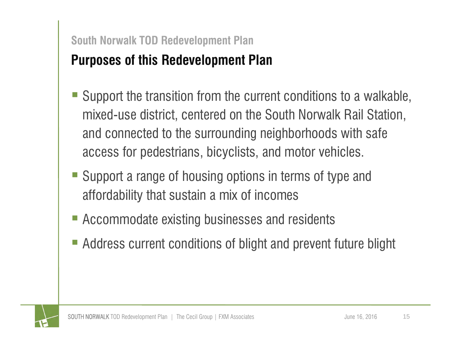#### **Purposes of this Redevelopment Plan South Norwalk TOD Redevelopment Plan**

- Support the transition from the current conditions to a walkable, mixed-use district, centered on the South Norwalk Rail Station, and connected to the surrounding neighborhoods with safe access for pedestrians, bicyclists, and motor vehicles.
- Support a range of housing options in terms of type and affordability that sustain a mix of incomes
- Accommodate existing businesses and residents
- Address current conditions of blight and prevent future blight

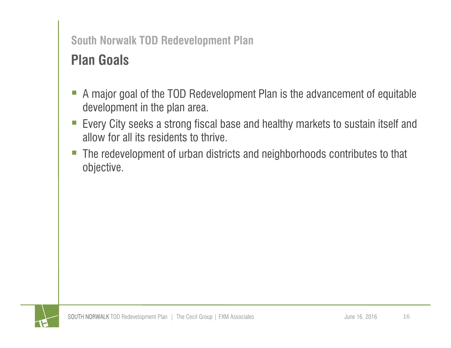# **Plan Goals**

- Ξ A major goal of the TOD Redevelopment Plan is the advancement of equitable development in the plan area.
- Ξ Every City seeks a strong fiscal base and healthy markets to sustain itself and allow for all its residents to thrive.
- Ξ The redevelopment of urban districts and neighborhoods contributes to that objective.

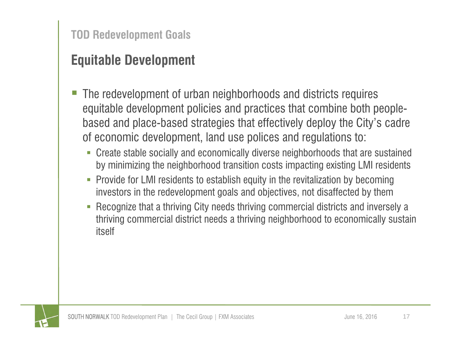- The redevelopment of urban neighborhoods and districts requires equitable development policies and practices that combine both peoplebased and place-based strategies that effectively deploy the City's cadre of economic development, land use polices and regulations to:
	- $\overline{\phantom{a}}$  Create stable socially and economically diverse neighborhoods that are sustained by minimizing the neighborhood transition costs impacting existing LMI residents
	- $\overline{\phantom{a}}$  Provide for LMI residents to establish equity in the revitalization by becoming investors in the redevelopment goals and objectives, not disaffected by them
	- ×, Recognize that a thriving City needs thriving commercial districts and inversely a thriving commercial district needs a thriving neighborhood to economically sustain itself

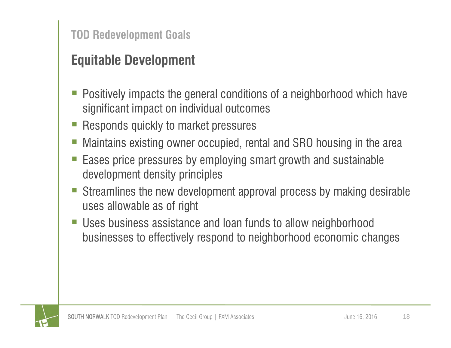- Positively impacts the general conditions of a neighborhood which have significant impact on individual outcomes
- Responds quickly to market pressures
- Maintains existing owner occupied, rental and SRO housing in the area
- e<br>S Eases price pressures by employing smart growth and sustainable development density principles
- e<br>S Streamlines the new development approval process by making desirable uses allowable as of right
- e<br>S Uses business assistance and loan funds to allow neighborhood businesses to effectively respond to neighborhood economic changes

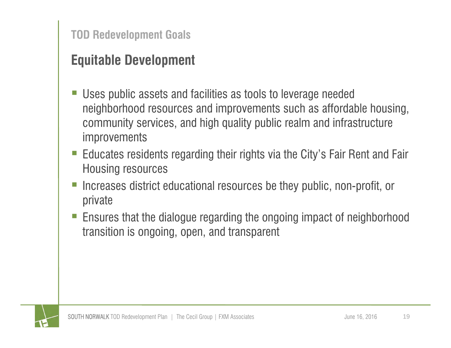- Uses public assets and facilities as tools to leverage needed neighborhood resources and improvements such as affordable housing, community services, and high quality public realm and infrastructure improvements
- Educates residents regarding their rights via the City's Fair Rent and Fair Housing resources
- Increases district educational resources be they public, non-profit, or private
- Ensures that the dialogue regarding the ongoing impact of neighborhood transition is ongoing, open, and transparent

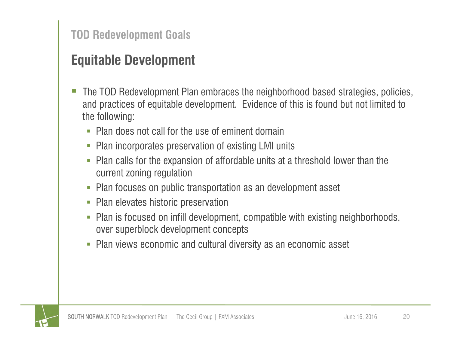- The TOD Redevelopment Plan embraces the neighborhood based strategies, policies, and practices of equitable development. Evidence of this is found but not limited to the following:
	- $\mathcal{L}_{\mathcal{A}}$ Plan does not call for the use of eminent domain
	- Plan incorporates preservation of existing LMI units
	- П Plan calls for the expansion of affordable units at a threshold lower than the current zoning regulation
	- Plan focuses on public transportation as an development asset
	- П Plan elevates historic preservation
	- L. Plan is focused on infill development, compatible with existing neighborhoods, over superblock development concepts
	- П Plan views economic and cultural diversity as an economic asset

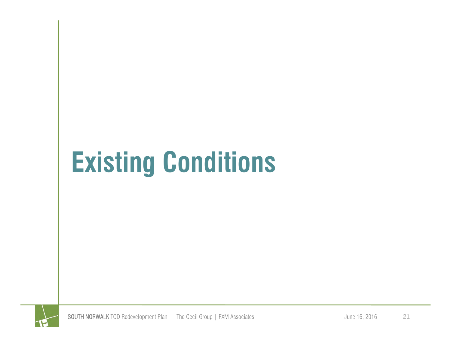# **Existing Conditions**

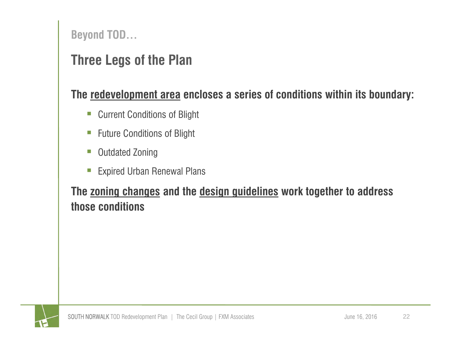**Beyond TOD…**

## **Three Legs of the Plan**

#### **The redevelopment area encloses a series of conditions within its boundary:**

- $\mathbb{R}^n$ Current Conditions of Blight
- $\Box$ Future Conditions of Blight
- $\mathbb{R}^3$ Outdated Zoning
- $\Box$ Expired Urban Renewal Plans

#### **The zoning changes and the design guidelines work together to address those conditions**

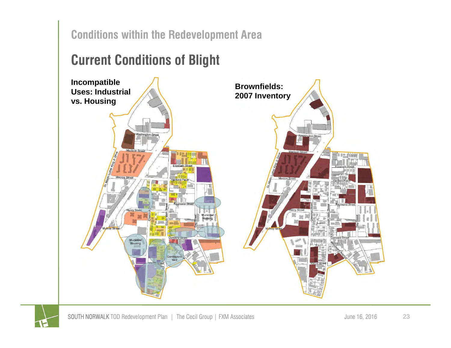#### **Conditions within the Redevelopment Area**

## **Current Conditions of Blight**



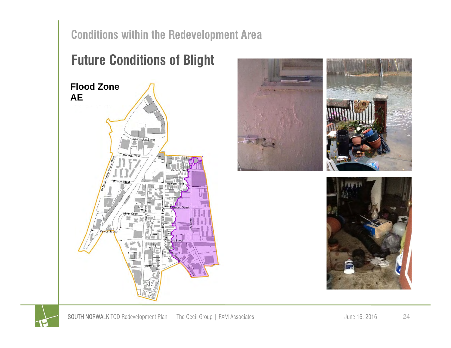**Conditions within the Redevelopment Area**

# **Future Conditions of Blight Flood Zone AE**Washington Stree



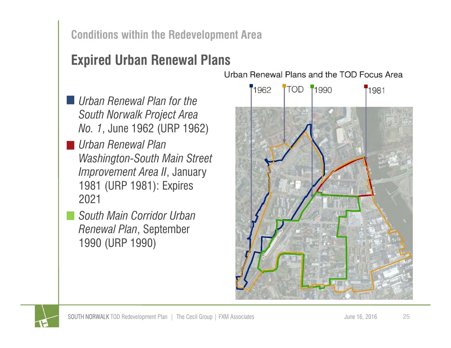#### **Conditions within the Redevelopment Area**

## **Expired Urban Renewal Plans**

- *Urban Renewal Plan for the South Norwalk Project Area No. 1*, June 1962 (URP 1962)
- *Urban Renewal Plan Washington-South Main Street Improvement Area II*, January 1981 (URP 1981): Expires 2021
	- *South Main Corridor Urban Renewal Plan*, September 1990 (URP 1990)

Urban Renewal Plans and the TOD Focus Area



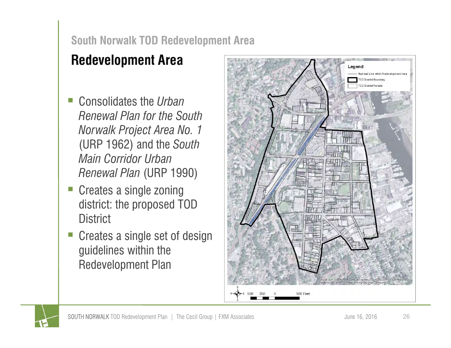# **Redevelopment Area**

- Consolidates the *Urban Renewal Plan for the South Norwalk Project Area No. 1*  (URP 1962) and the *South Main Corridor Urban Renewal Plan* (URP 1990)
- $\Box$  Creates a single zoning district: the proposed TOD **District**
- $\mathcal{L}_{\mathcal{A}}$  Creates a single set of design guidelines within the Redevelopment Plan



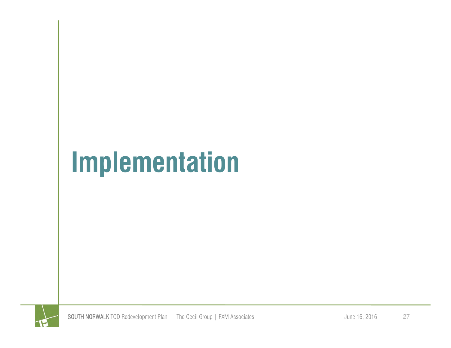# **Implementation**

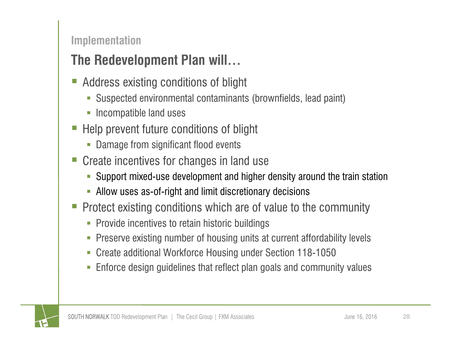#### **Implementation**

# **The Redevelopment Plan will…**

- e<br>S Address existing conditions of blight
	- Suspected environmental contaminants (brownfields, lead paint)
	- $\blacksquare$ Incompatible land uses
- Help prevent future conditions of blight
	- **Damage from significant flood events**
- Create incentives for changes in land use
	- L. Support mixed-use development and higher density around the train station
	- Allow uses as-of-right and limit discretionary decisions
- Protect existing conditions which are of value to the community
	- Provide incentives to retain historic buildings
	- L. Preserve existing number of housing units at current affordability levels
	- П Create additional Workforce Housing under Section 118-1050
	- L. Enforce design guidelines that reflect plan goals and community values

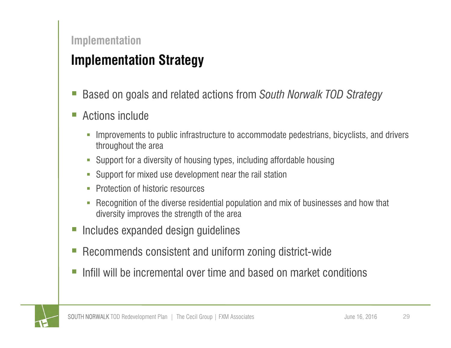#### **Implementation**

## **Implementation Strategy**

- Based on goals and related actions from *South Norwalk TOD Strategy*
- Ξ Actions include
	- $\mathcal{C}$  Improvements to public infrastructure to accommodate pedestrians, bicyclists, and drivers throughout the area
	- F. Support for a diversity of housing types, including affordable housing
	- U Support for mixed use development near the rail station
	- $\overline{\phantom{a}}$ Protection of historic resources
	- F Recognition of the diverse residential population and mix of businesses and how that diversity improves the strength of the area
- Ξ Includes expanded design guidelines
- Ξ Recommends consistent and uniform zoning district-wide
- Infill will be incremental over time and based on market conditions

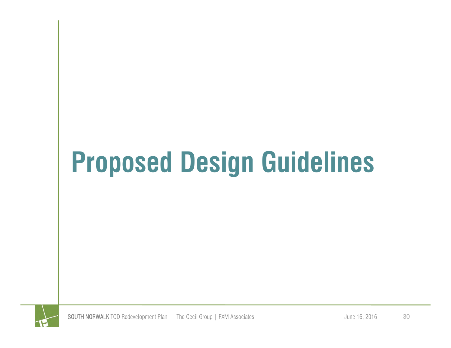# **Proposed Design Guidelines**

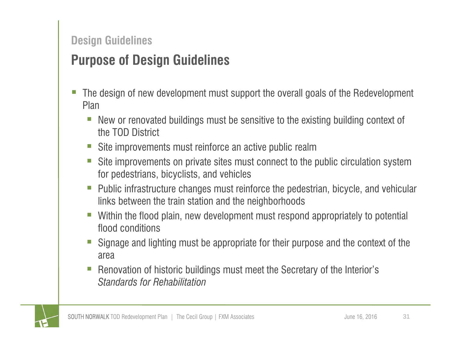#### **Design Guidelines**

### **Purpose of Design Guidelines**

- The design of new development must support the overall goals of the Redevelopment Plan
	- $\overline{\phantom{a}}$  New or renovated buildings must be sensitive to the existing building context of the TOD District
	- $\overline{\phantom{a}}$ Site improvements must reinforce an active public realm
	- $\overline{\phantom{a}}$  Site improvements on private sites must connect to the public circulation system for pedestrians, bicyclists, and vehicles
	- $\mathcal{L}_{\mathcal{A}}$  Public infrastructure changes must reinforce the pedestrian, bicycle, and vehicular links between the train station and the neighborhoods
	- $\mathbb{R}^n$  Within the flood plain, new development must respond appropriately to potential flood conditions
	- e<br>S Signage and lighting must be appropriate for their purpose and the context of the area
	- e<br>S Renovation of historic buildings must meet the Secretary of the Interior's *Standards for Rehabilitation*